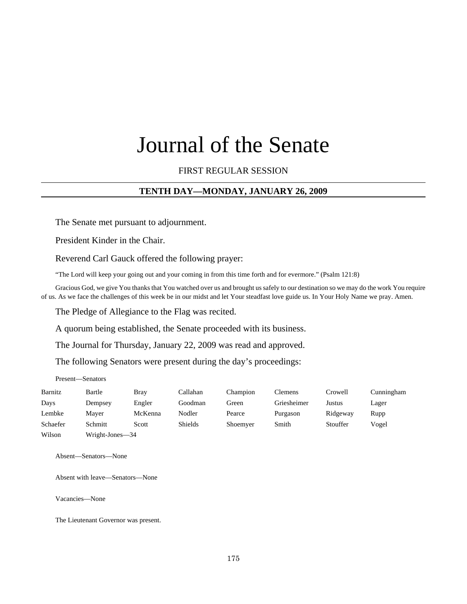# Journal of the Senate

FIRST REGULAR SESSION

# **TENTH DAY—MONDAY, JANUARY 26, 2009**

The Senate met pursuant to adjournment.

President Kinder in the Chair.

Reverend Carl Gauck offered the following prayer:

"The Lord will keep your going out and your coming in from this time forth and for evermore." (Psalm 121:8)

Gracious God, we give You thanks that You watched over us and brought us safely to our destination so we may do the work You require of us. As we face the challenges of this week be in our midst and let Your steadfast love guide us. In Your Holy Name we pray. Amen.

The Pledge of Allegiance to the Flag was recited.

A quorum being established, the Senate proceeded with its business.

The Journal for Thursday, January 22, 2009 was read and approved.

The following Senators were present during the day's proceedings:

Present—Senators

| Barnitz  | Bartle          | <b>Bray</b> | Callahan       | Champion | Clemens     | Crowell  | Cunningham |
|----------|-----------------|-------------|----------------|----------|-------------|----------|------------|
| Days     | Dempsey         | Engler      | Goodman        | Green    | Griesheimer | Justus   | Lager      |
| Lembke   | Maver           | McKenna     | Nodler         | Pearce   | Purgason    | Ridgeway | Rupp       |
| Schaefer | Schmitt         | Scott       | <b>Shields</b> | Shoemyer | Smith       | Stouffer | Vogel      |
| Wilson   | Wright-Jones—34 |             |                |          |             |          |            |

Absent—Senators—None

Absent with leave—Senators—None

Vacancies—None

The Lieutenant Governor was present.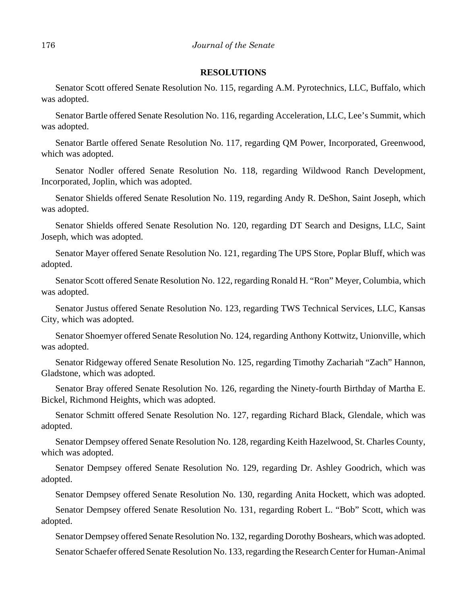### **RESOLUTIONS**

Senator Scott offered Senate Resolution No. 115, regarding A.M. Pyrotechnics, LLC, Buffalo, which was adopted.

Senator Bartle offered Senate Resolution No. 116, regarding Acceleration, LLC, Lee's Summit, which was adopted.

Senator Bartle offered Senate Resolution No. 117, regarding QM Power, Incorporated, Greenwood, which was adopted.

Senator Nodler offered Senate Resolution No. 118, regarding Wildwood Ranch Development, Incorporated, Joplin, which was adopted.

Senator Shields offered Senate Resolution No. 119, regarding Andy R. DeShon, Saint Joseph, which was adopted.

Senator Shields offered Senate Resolution No. 120, regarding DT Search and Designs, LLC, Saint Joseph, which was adopted.

Senator Mayer offered Senate Resolution No. 121, regarding The UPS Store, Poplar Bluff, which was adopted.

Senator Scott offered Senate Resolution No. 122, regarding Ronald H. "Ron" Meyer, Columbia, which was adopted.

Senator Justus offered Senate Resolution No. 123, regarding TWS Technical Services, LLC, Kansas City, which was adopted.

Senator Shoemyer offered Senate Resolution No. 124, regarding Anthony Kottwitz, Unionville, which was adopted.

Senator Ridgeway offered Senate Resolution No. 125, regarding Timothy Zachariah "Zach" Hannon, Gladstone, which was adopted.

Senator Bray offered Senate Resolution No. 126, regarding the Ninety-fourth Birthday of Martha E. Bickel, Richmond Heights, which was adopted.

Senator Schmitt offered Senate Resolution No. 127, regarding Richard Black, Glendale, which was adopted.

Senator Dempsey offered Senate Resolution No. 128, regarding Keith Hazelwood, St. Charles County, which was adopted.

Senator Dempsey offered Senate Resolution No. 129, regarding Dr. Ashley Goodrich, which was adopted.

Senator Dempsey offered Senate Resolution No. 130, regarding Anita Hockett, which was adopted.

Senator Dempsey offered Senate Resolution No. 131, regarding Robert L. "Bob" Scott, which was adopted.

Senator Dempsey offered Senate Resolution No. 132, regarding Dorothy Boshears, which was adopted. Senator Schaefer offered Senate Resolution No. 133, regarding the Research Center for Human-Animal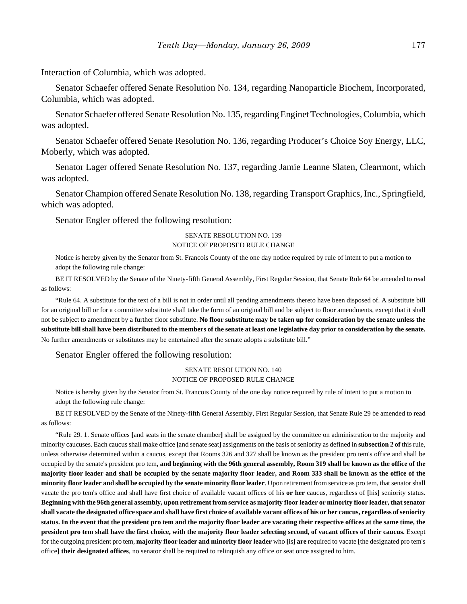Interaction of Columbia, which was adopted.

Senator Schaefer offered Senate Resolution No. 134, regarding Nanoparticle Biochem, Incorporated, Columbia, which was adopted.

Senator Schaefer offered Senate Resolution No. 135, regarding Enginet Technologies, Columbia, which was adopted.

Senator Schaefer offered Senate Resolution No. 136, regarding Producer's Choice Soy Energy, LLC, Moberly, which was adopted.

Senator Lager offered Senate Resolution No. 137, regarding Jamie Leanne Slaten, Clearmont, which was adopted.

Senator Champion offered Senate Resolution No. 138, regarding Transport Graphics, Inc., Springfield, which was adopted.

Senator Engler offered the following resolution:

### SENATE RESOLUTION NO. 139 NOTICE OF PROPOSED RULE CHANGE

Notice is hereby given by the Senator from St. Francois County of the one day notice required by rule of intent to put a motion to adopt the following rule change:

BE IT RESOLVED by the Senate of the Ninety-fifth General Assembly, First Regular Session, that Senate Rule 64 be amended to read as follows:

"Rule 64. A substitute for the text of a bill is not in order until all pending amendments thereto have been disposed of. A substitute bill for an original bill or for a committee substitute shall take the form of an original bill and be subject to floor amendments, except that it shall not be subject to amendment by a further floor substitute. **No floor substitute may be taken up for consideration by the senate unless the substitute bill shall have been distributed to the members of the senate at least one legislative day prior to consideration by the senate.** No further amendments or substitutes may be entertained after the senate adopts a substitute bill."

### Senator Engler offered the following resolution:

### SENATE RESOLUTION NO. 140 NOTICE OF PROPOSED RULE CHANGE

Notice is hereby given by the Senator from St. Francois County of the one day notice required by rule of intent to put a motion to adopt the following rule change:

BE IT RESOLVED by the Senate of the Ninety-fifth General Assembly, First Regular Session, that Senate Rule 29 be amended to read as follows:

"Rule 29. 1. Senate offices **[**and seats in the senate chamber**]** shall be assigned by the committee on administration to the majority and minority caucuses. Each caucus shall make office **[**and senate seat**]** assignments on the basis of seniority as defined in **subsection 2 of** this rule, unless otherwise determined within a caucus, except that Rooms 326 and 327 shall be known as the president pro tem's office and shall be occupied by the senate's president pro tem**, and beginning with the 96th general assembly, Room 319 shall be known as the office of the majority floor leader and shall be occupied by the senate majority floor leader, and Room 333 shall be known as the office of the minority floor leader and shall be occupied by the senate minority floor leader**. Upon retirement from service as pro tem, that senator shall vacate the pro tem's office and shall have first choice of available vacant offices of his **or her** caucus, regardless of **[**his**]** seniority status. **Beginning with the 96th general assembly, upon retirement from service as majority floor leader or minority floor leader, that senator shall vacate the designated office space and shall have first choice of available vacant offices of his or her caucus, regardless of seniority status. In the event that the president pro tem and the majority floor leader are vacating their respective offices at the same time, the president pro tem shall have the first choice, with the majority floor leader selecting second, of vacant offices of their caucus.** Except for the outgoing president pro tem, **majority floor leader and minority floor leader** who **[**is**] are** required to vacate **[**the designated pro tem's office**] their designated offices**, no senator shall be required to relinquish any office or seat once assigned to him.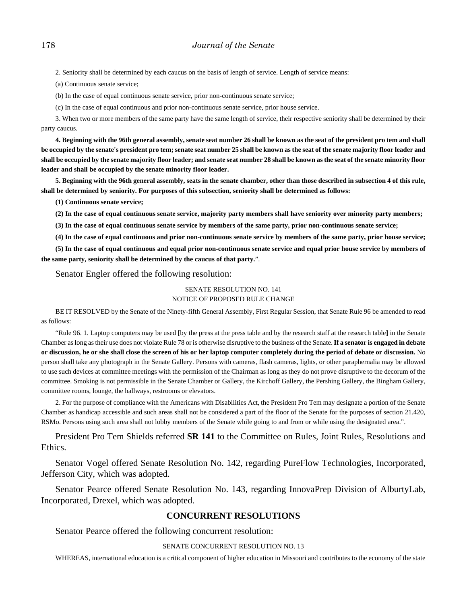2. Seniority shall be determined by each caucus on the basis of length of service. Length of service means:

(a) Continuous senate service;

(b) In the case of equal continuous senate service, prior non-continuous senate service;

(c) In the case of equal continuous and prior non-continuous senate service, prior house service.

3. When two or more members of the same party have the same length of service, their respective seniority shall be determined by their party caucus.

**4. Beginning with the 96th general assembly, senate seat number 26 shall be known as the seat of the president pro tem and shall be occupied by the senate's president pro tem; senate seat number 25 shall be known as the seat of the senate majority floor leader and shall be occupied by the senate majority floor leader; and senate seat number 28 shall be known as the seat of the senate minority floor leader and shall be occupied by the senate minority floor leader.**

**5. Beginning with the 96th general assembly, seats in the senate chamber, other than those described in subsection 4 of this rule, shall be determined by seniority. For purposes of this subsection, seniority shall be determined as follows:**

**(1) Continuous senate service;**

**(2) In the case of equal continuous senate service, majority party members shall have seniority over minority party members;**

**(3) In the case of equal continuous senate service by members of the same party, prior non-continuous senate service;**

**(4) In the case of equal continuous and prior non-continuous senate service by members of the same party, prior house service;**

**(5) In the case of equal continuous and equal prior non-continuous senate service and equal prior house service by members of the same party, seniority shall be determined by the caucus of that party.**".

Senator Engler offered the following resolution:

### SENATE RESOLUTION NO. 141 NOTICE OF PROPOSED RULE CHANGE

BE IT RESOLVED by the Senate of the Ninety-fifth General Assembly, First Regular Session, that Senate Rule 96 be amended to read as follows:

"Rule 96. 1. Laptop computers may be used **[**by the press at the press table and by the research staff at the research table**]** in the Senate Chamber as long as their use does not violate Rule 78 or is otherwise disruptive to the business of the Senate. **If a senator is engaged in debate or discussion, he or she shall close the screen of his or her laptop computer completely during the period of debate or discussion.** No person shall take any photograph in the Senate Gallery. Persons with cameras, flash cameras, lights, or other paraphernalia may be allowed to use such devices at committee meetings with the permission of the Chairman as long as they do not prove disruptive to the decorum of the committee. Smoking is not permissible in the Senate Chamber or Gallery, the Kirchoff Gallery, the Pershing Gallery, the Bingham Gallery, committee rooms, lounge, the hallways, restrooms or elevators.

2. For the purpose of compliance with the Americans with Disabilities Act, the President Pro Tem may designate a portion of the Senate Chamber as handicap accessible and such areas shall not be considered a part of the floor of the Senate for the purposes of section 21.420, RSMo. Persons using such area shall not lobby members of the Senate while going to and from or while using the designated area.".

President Pro Tem Shields referred **SR 141** to the Committee on Rules, Joint Rules, Resolutions and Ethics.

Senator Vogel offered Senate Resolution No. 142, regarding PureFlow Technologies, Incorporated, Jefferson City, which was adopted.

Senator Pearce offered Senate Resolution No. 143, regarding InnovaPrep Division of AlburtyLab, Incorporated, Drexel, which was adopted.

### **CONCURRENT RESOLUTIONS**

Senator Pearce offered the following concurrent resolution:

### SENATE CONCURRENT RESOLUTION NO. 13

WHEREAS, international education is a critical component of higher education in Missouri and contributes to the economy of the state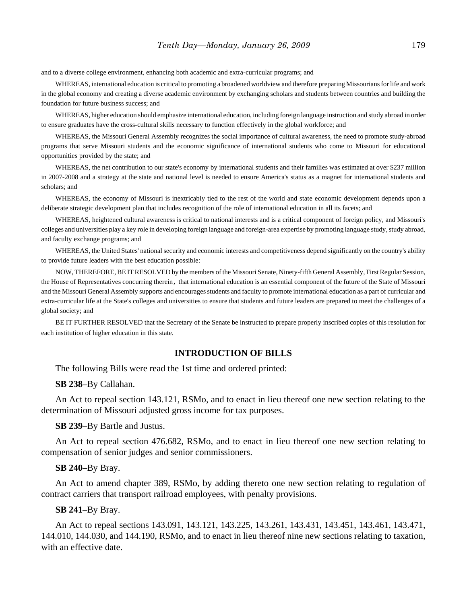and to a diverse college environment, enhancing both academic and extra-curricular programs; and

WHEREAS, international education is critical to promoting a broadened worldview and therefore preparing Missourians for life and work in the global economy and creating a diverse academic environment by exchanging scholars and students between countries and building the foundation for future business success; and

WHEREAS, higher education should emphasize international education, including foreign language instruction and study abroad in order to ensure graduates have the cross-cultural skills necessary to function effectively in the global workforce; and

WHEREAS, the Missouri General Assembly recognizes the social importance of cultural awareness, the need to promote study-abroad programs that serve Missouri students and the economic significance of international students who come to Missouri for educational opportunities provided by the state; and

WHEREAS, the net contribution to our state's economy by international students and their families was estimated at over \$237 million in 2007-2008 and a strategy at the state and national level is needed to ensure America's status as a magnet for international students and scholars; and

WHEREAS, the economy of Missouri is inextricably tied to the rest of the world and state economic development depends upon a deliberate strategic development plan that includes recognition of the role of international education in all its facets; and

WHEREAS, heightened cultural awareness is critical to national interests and is a critical component of foreign policy, and Missouri's colleges and universities play a key role in developing foreign language and foreign-area expertise by promoting language study, study abroad, and faculty exchange programs; and

WHEREAS, the United States' national security and economic interests and competitiveness depend significantly on the country's ability to provide future leaders with the best education possible:

NOW, THEREFORE, BE IT RESOLVED by the members of the Missouri Senate, Ninety-fifth General Assembly, First Regular Session, the House of Representatives concurring therein, that international education is an essential component of the future of the State of Missouri and the Missouri General Assembly supports and encourages students and faculty to promote international education as a part of curricular and extra-curricular life at the State's colleges and universities to ensure that students and future leaders are prepared to meet the challenges of a global society; and

BE IT FURTHER RESOLVED that the Secretary of the Senate be instructed to prepare properly inscribed copies of this resolution for each institution of higher education in this state.

### **INTRODUCTION OF BILLS**

The following Bills were read the 1st time and ordered printed:

**SB 238**–By Callahan.

An Act to repeal section 143.121, RSMo, and to enact in lieu thereof one new section relating to the determination of Missouri adjusted gross income for tax purposes.

**SB 239**–By Bartle and Justus.

An Act to repeal section 476.682, RSMo, and to enact in lieu thereof one new section relating to compensation of senior judges and senior commissioners.

### **SB 240**–By Bray.

An Act to amend chapter 389, RSMo, by adding thereto one new section relating to regulation of contract carriers that transport railroad employees, with penalty provisions.

### **SB 241**–By Bray.

An Act to repeal sections 143.091, 143.121, 143.225, 143.261, 143.431, 143.451, 143.461, 143.471, 144.010, 144.030, and 144.190, RSMo, and to enact in lieu thereof nine new sections relating to taxation, with an effective date.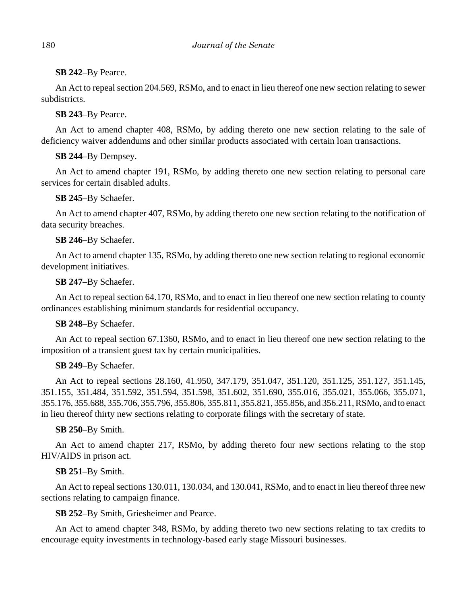# **SB 242**–By Pearce.

An Act to repeal section 204.569, RSMo, and to enact in lieu thereof one new section relating to sewer subdistricts.

# **SB 243**–By Pearce.

An Act to amend chapter 408, RSMo, by adding thereto one new section relating to the sale of deficiency waiver addendums and other similar products associated with certain loan transactions.

# **SB 244**–By Dempsey.

An Act to amend chapter 191, RSMo, by adding thereto one new section relating to personal care services for certain disabled adults.

# **SB 245**–By Schaefer.

An Act to amend chapter 407, RSMo, by adding thereto one new section relating to the notification of data security breaches.

# **SB 246**–By Schaefer.

An Act to amend chapter 135, RSMo, by adding thereto one new section relating to regional economic development initiatives.

# **SB 247**–By Schaefer.

An Act to repeal section 64.170, RSMo, and to enact in lieu thereof one new section relating to county ordinances establishing minimum standards for residential occupancy.

# **SB 248**–By Schaefer.

An Act to repeal section 67.1360, RSMo, and to enact in lieu thereof one new section relating to the imposition of a transient guest tax by certain municipalities.

# **SB 249**–By Schaefer.

An Act to repeal sections 28.160, 41.950, 347.179, 351.047, 351.120, 351.125, 351.127, 351.145, 351.155, 351.484, 351.592, 351.594, 351.598, 351.602, 351.690, 355.016, 355.021, 355.066, 355.071, 355.176, 355.688, 355.706, 355.796, 355.806, 355.811, 355.821, 355.856, and 356.211, RSMo, and to enact in lieu thereof thirty new sections relating to corporate filings with the secretary of state.

# **SB 250**–By Smith.

An Act to amend chapter 217, RSMo, by adding thereto four new sections relating to the stop HIV/AIDS in prison act.

# **SB 251**–By Smith.

An Act to repeal sections 130.011, 130.034, and 130.041, RSMo, and to enact in lieu thereof three new sections relating to campaign finance.

# **SB 252**–By Smith, Griesheimer and Pearce.

An Act to amend chapter 348, RSMo, by adding thereto two new sections relating to tax credits to encourage equity investments in technology-based early stage Missouri businesses.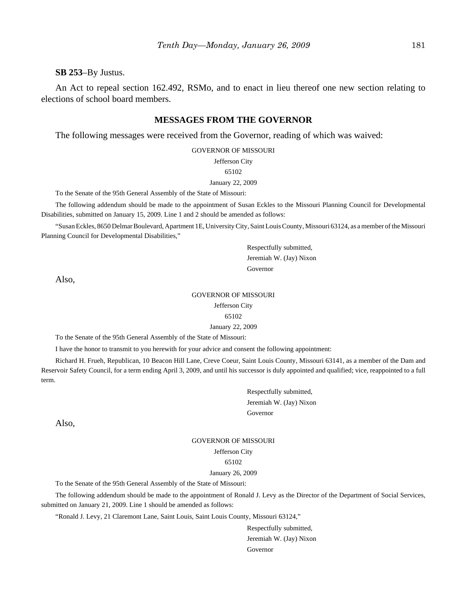**SB 253**–By Justus.

An Act to repeal section 162.492, RSMo, and to enact in lieu thereof one new section relating to elections of school board members.

### **MESSAGES FROM THE GOVERNOR**

The following messages were received from the Governor, reading of which was waived:

GOVERNOR OF MISSOURI

Jefferson City

### 65102

#### January 22, 2009

To the Senate of the 95th General Assembly of the State of Missouri:

The following addendum should be made to the appointment of Susan Eckles to the Missouri Planning Council for Developmental Disabilities, submitted on January 15, 2009. Line 1 and 2 should be amended as follows:

"Susan Eckles, 8650 Delmar Boulevard, Apartment 1E, University City, Saint Louis County, Missouri 63124, as a member of the Missouri Planning Council for Developmental Disabilities,"

> Respectfully submitted, Jeremiah W. (Jay) Nixon Governor

Also,

#### GOVERNOR OF MISSOURI

Jefferson City

65102

January 22, 2009

To the Senate of the 95th General Assembly of the State of Missouri:

I have the honor to transmit to you herewith for your advice and consent the following appointment:

Richard H. Frueh, Republican, 10 Beacon Hill Lane, Creve Coeur, Saint Louis County, Missouri 63141, as a member of the Dam and Reservoir Safety Council, for a term ending April 3, 2009, and until his successor is duly appointed and qualified; vice, reappointed to a full term.

> Respectfully submitted, Jeremiah W. (Jay) Nixon Governor

Also,

### GOVERNOR OF MISSOURI Jefferson City 65102 January 26, 2009

To the Senate of the 95th General Assembly of the State of Missouri:

The following addendum should be made to the appointment of Ronald J. Levy as the Director of the Department of Social Services, submitted on January 21, 2009. Line 1 should be amended as follows:

"Ronald J. Levy, 21 Claremont Lane, Saint Louis, Saint Louis County, Missouri 63124,"

Respectfully submitted, Jeremiah W. (Jay) Nixon Governor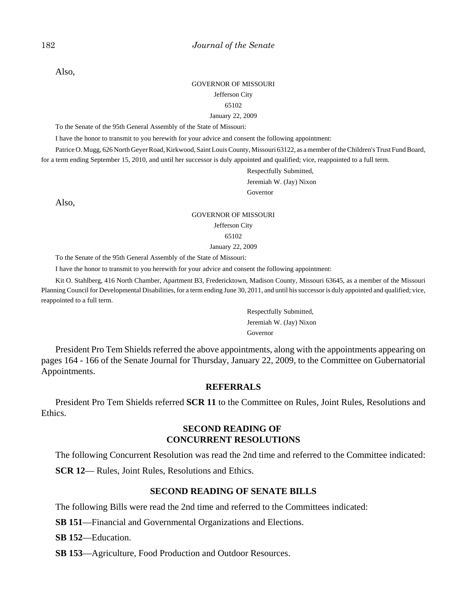Also,

#### GOVERNOR OF MISSOURI

#### Jefferson City

#### 65102

#### January 22, 2009

To the Senate of the 95th General Assembly of the State of Missouri:

I have the honor to transmit to you herewith for your advice and consent the following appointment:

Patrice O. Mugg, 626 North Geyer Road, Kirkwood, Saint Louis County, Missouri 63122, as a member of the Children's Trust Fund Board, for a term ending September 15, 2010, and until her successor is duly appointed and qualified; vice, reappointed to a full term.

> Respectfully Submitted, Jeremiah W. (Jay) Nixon

Governor

Also,

### GOVERNOR OF MISSOURI Jefferson City 65102 January 22, 2009

To the Senate of the 95th General Assembly of the State of Missouri:

I have the honor to transmit to you herewith for your advice and consent the following appointment:

Kit O. Stahlberg, 416 North Chamber, Apartment B3, Fredericktown, Madison County, Missouri 63645, as a member of the Missouri Planning Council for Developmental Disabilities, for a term ending June 30, 2011, and until his successor is duly appointed and qualified; vice, reappointed to a full term.

> Respectfully Submitted, Jeremiah W. (Jay) Nixon Governor

President Pro Tem Shields referred the above appointments, along with the appointments appearing on pages 164 - 166 of the Senate Journal for Thursday, January 22, 2009, to the Committee on Gubernatorial Appointments.

### **REFERRALS**

President Pro Tem Shields referred **SCR 11** to the Committee on Rules, Joint Rules, Resolutions and Ethics.

### **SECOND READING OF CONCURRENT RESOLUTIONS**

The following Concurrent Resolution was read the 2nd time and referred to the Committee indicated:

**SCR 12— Rules, Joint Rules, Resolutions and Ethics.** 

### **SECOND READING OF SENATE BILLS**

The following Bills were read the 2nd time and referred to the Committees indicated:

**SB 151**—Financial and Governmental Organizations and Elections.

**SB 152**—Education.

**SB 153**—Agriculture, Food Production and Outdoor Resources.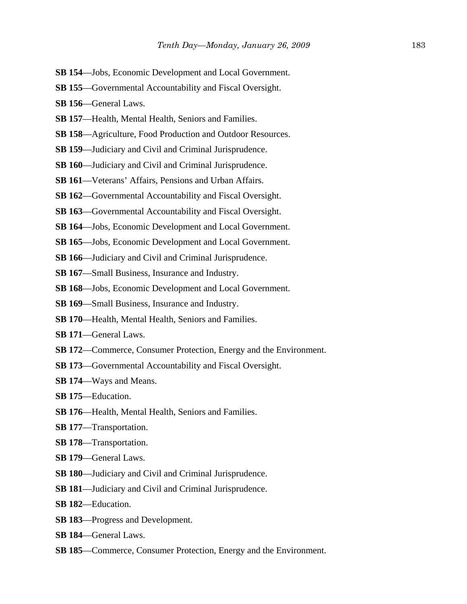- **SB 154**—Jobs, Economic Development and Local Government.
- **SB 155**—Governmental Accountability and Fiscal Oversight.
- **SB 156**—General Laws.
- **SB 157**—Health, Mental Health, Seniors and Families.
- **SB 158**—Agriculture, Food Production and Outdoor Resources.
- **SB 159**—Judiciary and Civil and Criminal Jurisprudence.
- **SB 160**—Judiciary and Civil and Criminal Jurisprudence.
- **SB 161**—Veterans' Affairs, Pensions and Urban Affairs.
- **SB 162**—Governmental Accountability and Fiscal Oversight.
- **SB 163**—Governmental Accountability and Fiscal Oversight.
- **SB 164**—Jobs, Economic Development and Local Government.
- **SB 165**—Jobs, Economic Development and Local Government.
- **SB 166**—Judiciary and Civil and Criminal Jurisprudence.
- **SB 167**—Small Business, Insurance and Industry.
- **SB 168**—Jobs, Economic Development and Local Government.
- **SB 169**—Small Business, Insurance and Industry.
- **SB 170**—Health, Mental Health, Seniors and Families.
- **SB 171**—General Laws.
- **SB 172**—Commerce, Consumer Protection, Energy and the Environment.
- **SB 173**—Governmental Accountability and Fiscal Oversight.
- **SB 174**—Ways and Means.
- **SB 175**—Education.
- **SB 176**—Health, Mental Health, Seniors and Families.
- **SB 177**—Transportation.
- **SB 178**—Transportation.
- **SB 179**—General Laws.
- **SB 180**—Judiciary and Civil and Criminal Jurisprudence.
- **SB 181**—Judiciary and Civil and Criminal Jurisprudence.
- **SB 182**—Education.
- **SB 183**—Progress and Development.
- **SB 184**—General Laws.
- **SB 185**—Commerce, Consumer Protection, Energy and the Environment.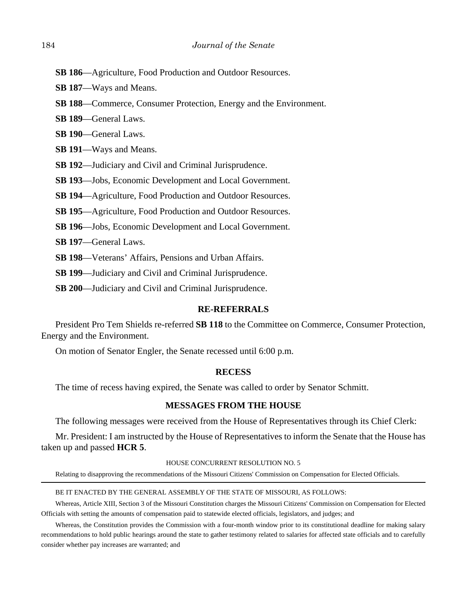- **SB 186**—Agriculture, Food Production and Outdoor Resources.
- **SB 187**—Ways and Means.
- **SB 188**—Commerce, Consumer Protection, Energy and the Environment.
- **SB 189**—General Laws.
- **SB 190**—General Laws.
- **SB 191**—Ways and Means.
- **SB 192**—Judiciary and Civil and Criminal Jurisprudence.
- **SB 193**—Jobs, Economic Development and Local Government.
- **SB 194**—Agriculture, Food Production and Outdoor Resources.
- **SB 195**—Agriculture, Food Production and Outdoor Resources.
- **SB 196**—Jobs, Economic Development and Local Government.
- **SB 197**—General Laws.
- **SB 198**—Veterans' Affairs, Pensions and Urban Affairs.
- **SB 199**—Judiciary and Civil and Criminal Jurisprudence.
- **SB 200**—Judiciary and Civil and Criminal Jurisprudence.

### **RE-REFERRALS**

President Pro Tem Shields re-referred **SB 118** to the Committee on Commerce, Consumer Protection, Energy and the Environment.

On motion of Senator Engler, the Senate recessed until 6:00 p.m.

### **RECESS**

The time of recess having expired, the Senate was called to order by Senator Schmitt.

### **MESSAGES FROM THE HOUSE**

The following messages were received from the House of Representatives through its Chief Clerk:

Mr. President: I am instructed by the House of Representatives to inform the Senate that the House has taken up and passed **HCR 5**.

#### HOUSE CONCURRENT RESOLUTION NO. 5

Relating to disapproving the recommendations of the Missouri Citizens' Commission on Compensation for Elected Officials.

### BE IT ENACTED BY THE GENERAL ASSEMBLY OF THE STATE OF MISSOURI, AS FOLLOWS:

Whereas, Article XIII, Section 3 of the Missouri Constitution charges the Missouri Citizens' Commission on Compensation for Elected Officials with setting the amounts of compensation paid to statewide elected officials, legislators, and judges; and

Whereas, the Constitution provides the Commission with a four-month window prior to its constitutional deadline for making salary recommendations to hold public hearings around the state to gather testimony related to salaries for affected state officials and to carefully consider whether pay increases are warranted; and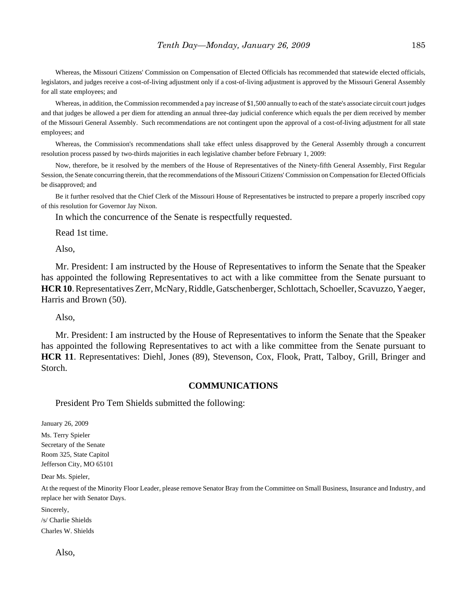Whereas, the Missouri Citizens' Commission on Compensation of Elected Officials has recommended that statewide elected officials, legislators, and judges receive a cost-of-living adjustment only if a cost-of-living adjustment is approved by the Missouri General Assembly for all state employees; and

Whereas, in addition, the Commission recommended a pay increase of \$1,500 annually to each of the state's associate circuit court judges and that judges be allowed a per diem for attending an annual three-day judicial conference which equals the per diem received by member of the Missouri General Assembly. Such recommendations are not contingent upon the approval of a cost-of-living adjustment for all state employees; and

Whereas, the Commission's recommendations shall take effect unless disapproved by the General Assembly through a concurrent resolution process passed by two-thirds majorities in each legislative chamber before February 1, 2009:

Now, therefore, be it resolved by the members of the House of Representatives of the Ninety-fifth General Assembly, First Regular Session, the Senate concurring therein, that the recommendations of the Missouri Citizens' Commission on Compensation for Elected Officials be disapproved; and

Be it further resolved that the Chief Clerk of the Missouri House of Representatives be instructed to prepare a properly inscribed copy of this resolution for Governor Jay Nixon.

In which the concurrence of the Senate is respectfully requested.

Read 1st time.

Also,

Mr. President: I am instructed by the House of Representatives to inform the Senate that the Speaker has appointed the following Representatives to act with a like committee from the Senate pursuant to **HCR 10**. Representatives Zerr, McNary, Riddle, Gatschenberger, Schlottach, Schoeller, Scavuzzo, Yaeger, Harris and Brown (50).

Also,

Mr. President: I am instructed by the House of Representatives to inform the Senate that the Speaker has appointed the following Representatives to act with a like committee from the Senate pursuant to **HCR 11**. Representatives: Diehl, Jones (89), Stevenson, Cox, Flook, Pratt, Talboy, Grill, Bringer and Storch.

### **COMMUNICATIONS**

President Pro Tem Shields submitted the following:

January 26, 2009

Ms. Terry Spieler Secretary of the Senate Room 325, State Capitol Jefferson City, MO 65101

Dear Ms. Spieler,

At the request of the Minority Floor Leader, please remove Senator Bray from the Committee on Small Business, Insurance and Industry, and replace her with Senator Days.

Sincerely,

/s/ Charlie Shields Charles W. Shields

Also,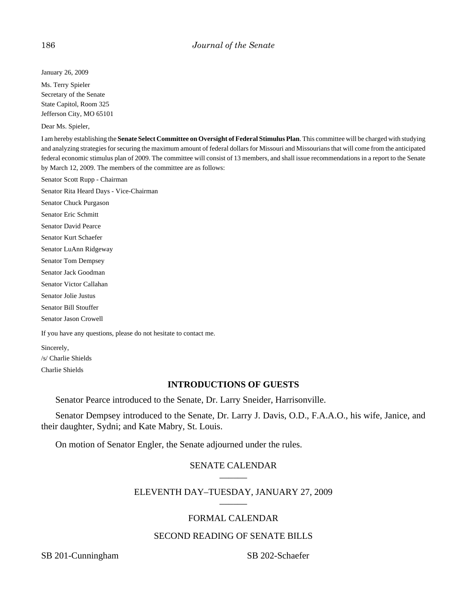January 26, 2009

Ms. Terry Spieler Secretary of the Senate State Capitol, Room 325 Jefferson City, MO 65101

Dear Ms. Spieler,

I am hereby establishing the **Senate Select Committee on Oversight of Federal Stimulus Plan**. This committee will be charged with studying and analyzing strategies for securing the maximum amount of federal dollars for Missouri and Missourians that will come from the anticipated federal economic stimulus plan of 2009. The committee will consist of 13 members, and shall issue recommendations in a report to the Senate by March 12, 2009. The members of the committee are as follows:

Senator Scott Rupp - Chairman

Senator Rita Heard Days - Vice-Chairman

Senator Chuck Purgason

Senator Eric Schmitt

Senator David Pearce

Senator Kurt Schaefer

Senator LuAnn Ridgeway

Senator Tom Dempsey

Senator Jack Goodman

Senator Victor Callahan

Senator Jolie Justus

Senator Bill Stouffer

Senator Jason Crowell

If you have any questions, please do not hesitate to contact me.

Sincerely,

/s/ Charlie Shields

Charlie Shields

# **INTRODUCTIONS OF GUESTS**

Senator Pearce introduced to the Senate, Dr. Larry Sneider, Harrisonville.

Senator Dempsey introduced to the Senate, Dr. Larry J. Davis, O.D., F.A.A.O., his wife, Janice, and their daughter, Sydni; and Kate Mabry, St. Louis.

On motion of Senator Engler, the Senate adjourned under the rules.

# SENATE CALENDAR

# ELEVENTH DAY-TUESDAY, JANUARY 27, 2009

# FORMAL CALENDAR

# SECOND READING OF SENATE BILLS

SB 201-Cunningham SB 202-Schaefer